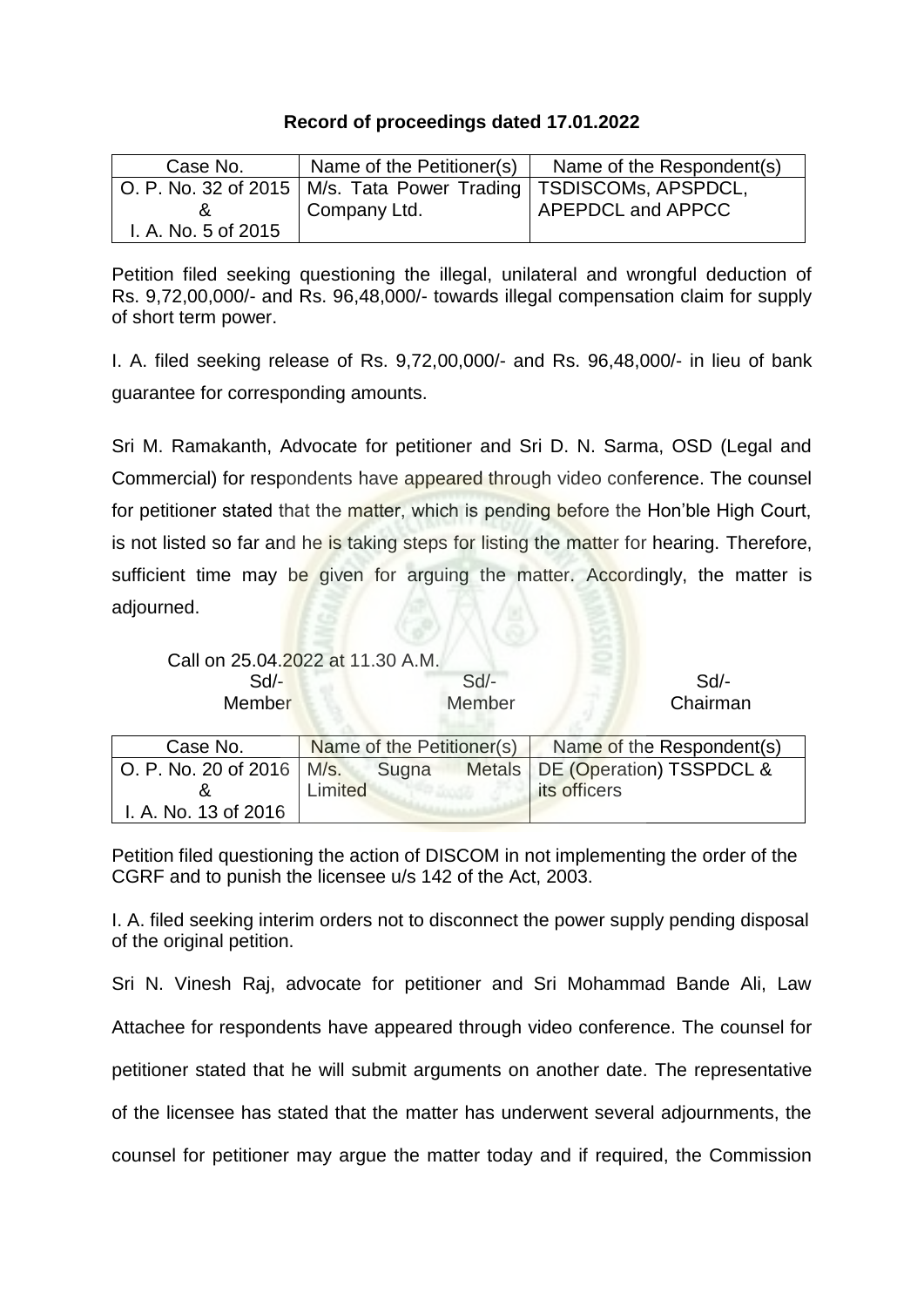## **Record of proceedings dated 17.01.2022**

| Case No.            | Name of the Petitioner(s)                                            | Name of the Respondent(s) |
|---------------------|----------------------------------------------------------------------|---------------------------|
|                     | O. P. No. 32 of 2015   M/s. Tata Power Trading   TSDISCOMs, APSPDCL, |                           |
|                     | Company Ltd.                                                         | APEPDCL and APPCC         |
| I. A. No. 5 of 2015 |                                                                      |                           |

Petition filed seeking questioning the illegal, unilateral and wrongful deduction of Rs. 9,72,00,000/- and Rs. 96,48,000/- towards illegal compensation claim for supply of short term power.

I. A. filed seeking release of Rs. 9,72,00,000/- and Rs. 96,48,000/- in lieu of bank guarantee for corresponding amounts.

Sri M. Ramakanth, Advocate for petitioner and Sri D. N. Sarma, OSD (Legal and Commercial) for respondents have appeared through video conference. The counsel for petitioner stated that the matter, which is pending before the Hon'ble High Court, is not listed so far and he is taking steps for listing the matter for hearing. Therefore, sufficient time may be given for arguing the matter. Accordingly, the matter is adjourned.

| Call on 25.04.2022 at 11.30 A.M.<br>$Sd$ - |         |       | $Sd$ -                    | $Sd$ -                    |
|--------------------------------------------|---------|-------|---------------------------|---------------------------|
| Member                                     |         |       | Member                    | Chairman                  |
| Case No.                                   |         |       | Name of the Petitioner(s) | Name of the Respondent(s) |
| O. P. No. 20 of 2016   M/s.                |         | Sugna | <b>Metals</b>             | DE (Operation) TSSPDCL &  |
|                                            | Limited |       |                           | its officers              |
| I. A. No. 13 of 2016                       |         |       |                           |                           |

Petition filed questioning the action of DISCOM in not implementing the order of the CGRF and to punish the licensee u/s 142 of the Act, 2003.

I. A. filed seeking interim orders not to disconnect the power supply pending disposal of the original petition.

Sri N. Vinesh Raj, advocate for petitioner and Sri Mohammad Bande Ali, Law Attachee for respondents have appeared through video conference. The counsel for petitioner stated that he will submit arguments on another date. The representative of the licensee has stated that the matter has underwent several adjournments, the counsel for petitioner may argue the matter today and if required, the Commission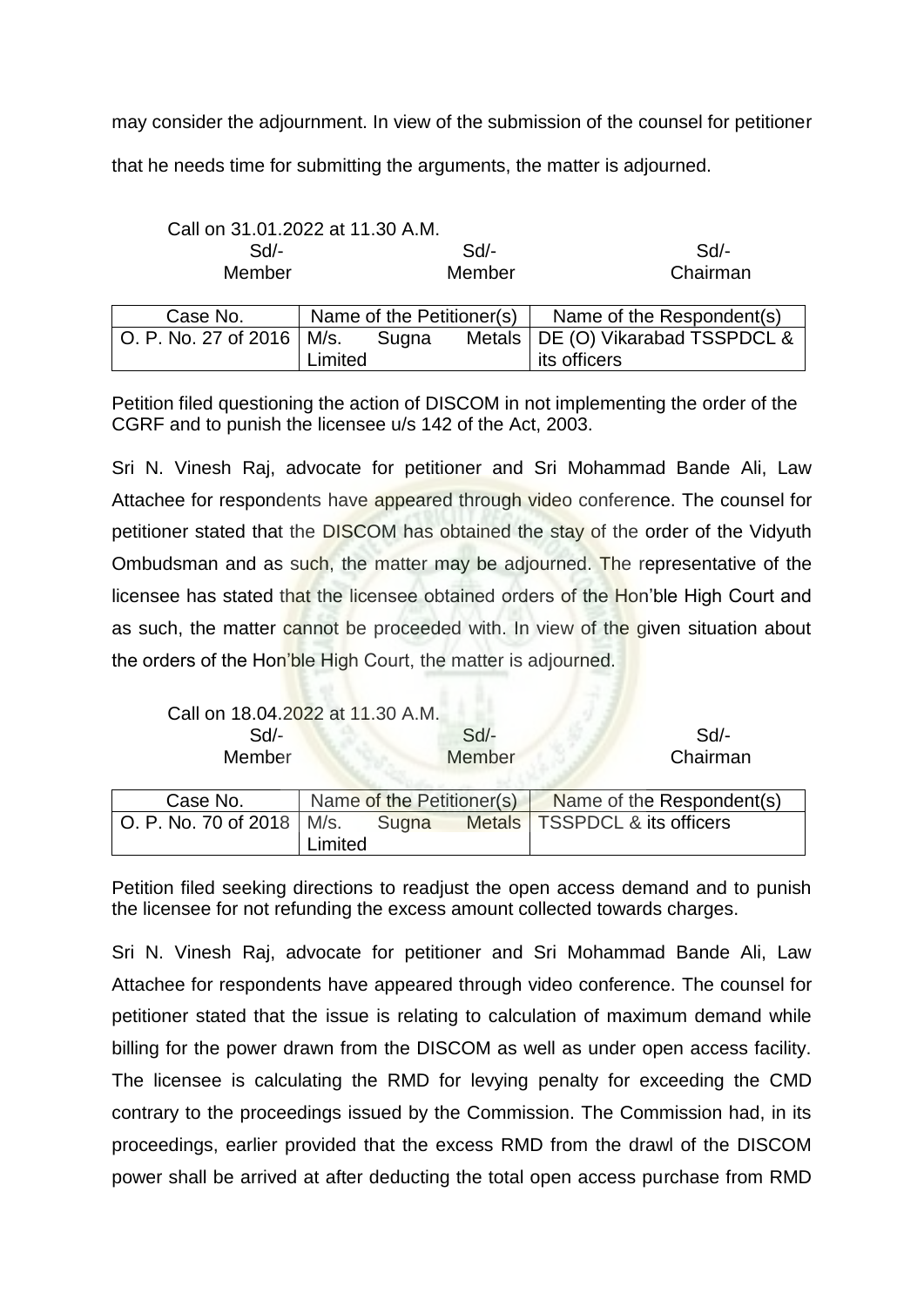may consider the adjournment. In view of the submission of the counsel for petitioner that he needs time for submitting the arguments, the matter is adjourned.

| Call on 31.01.2022 at 11.30 A.M. |         |       |                           |                                     |
|----------------------------------|---------|-------|---------------------------|-------------------------------------|
| Sd                               |         | Sd    |                           | Sd                                  |
| Member                           |         |       | Member                    | Chairman                            |
| Case No.                         |         |       | Name of the Petitioner(s) | Name of the Respondent(s)           |
| O. P. No. 27 of 2016   M/s.      |         | Sugna |                           | Metals   DE (O) Vikarabad TSSPDCL & |
|                                  | Limited |       |                           | its officers                        |

Petition filed questioning the action of DISCOM in not implementing the order of the CGRF and to punish the licensee u/s 142 of the Act, 2003.

Sri N. Vinesh Raj, advocate for petitioner and Sri Mohammad Bande Ali, Law Attachee for respondents have appeared through video conference. The counsel for petitioner stated that the DISCOM has obtained the stay of the order of the Vidyuth Ombudsman and as such, the matter may be adjourned. The representative of the licensee has stated that the licensee obtained orders of the Hon'ble High Court and as such, the matter cannot be proceeded with. In view of the given situation about the orders of the Hon'ble High Court, the matter is adjourned.

| Call on 18.04.2022 at 11.30 A.M. |        |          |
|----------------------------------|--------|----------|
| Sd/-                             | $Sd$ - | $Sd$ -   |
| <b>Member</b>                    | Member | Chairman |
|                                  |        |          |

| Case No.                    |         |       | Name of the Petitioner(s) Name of the Respondent(s) |
|-----------------------------|---------|-------|-----------------------------------------------------|
| O. P. No. 70 of 2018   M/s. |         | Sugna | Metals   TSSPDCL & its officers                     |
|                             | Limited |       |                                                     |

Petition filed seeking directions to readjust the open access demand and to punish the licensee for not refunding the excess amount collected towards charges.

Sri N. Vinesh Raj, advocate for petitioner and Sri Mohammad Bande Ali, Law Attachee for respondents have appeared through video conference. The counsel for petitioner stated that the issue is relating to calculation of maximum demand while billing for the power drawn from the DISCOM as well as under open access facility. The licensee is calculating the RMD for levying penalty for exceeding the CMD contrary to the proceedings issued by the Commission. The Commission had, in its proceedings, earlier provided that the excess RMD from the drawl of the DISCOM power shall be arrived at after deducting the total open access purchase from RMD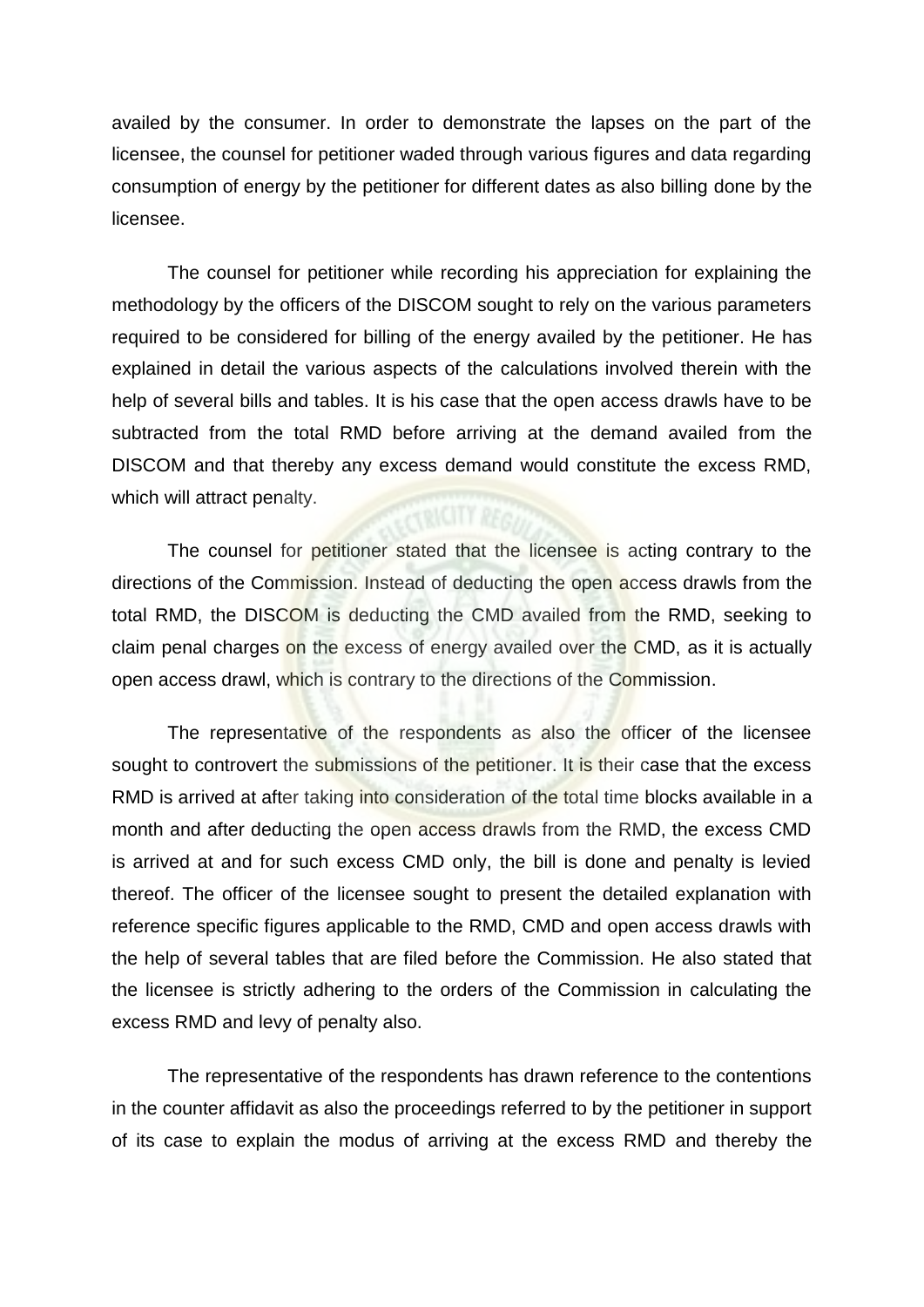availed by the consumer. In order to demonstrate the lapses on the part of the licensee, the counsel for petitioner waded through various figures and data regarding consumption of energy by the petitioner for different dates as also billing done by the licensee.

The counsel for petitioner while recording his appreciation for explaining the methodology by the officers of the DISCOM sought to rely on the various parameters required to be considered for billing of the energy availed by the petitioner. He has explained in detail the various aspects of the calculations involved therein with the help of several bills and tables. It is his case that the open access drawls have to be subtracted from the total RMD before arriving at the demand availed from the DISCOM and that thereby any excess demand would constitute the excess RMD, which will attract penalty.

The counsel for petitioner stated that the licensee is acting contrary to the directions of the Commission. Instead of deducting the open access drawls from the total RMD, the DISCOM is deducting the CMD availed from the RMD, seeking to claim penal charges on the excess of energy availed over the CMD, as it is actually open access drawl, which is contrary to the directions of the Commission.

The representative of the respondents as also the officer of the licensee sought to controvert the submissions of the petitioner. It is their case that the excess RMD is arrived at after taking into consideration of the total time blocks available in a month and after deducting the open access drawls from the RMD, the excess CMD is arrived at and for such excess CMD only, the bill is done and penalty is levied thereof. The officer of the licensee sought to present the detailed explanation with reference specific figures applicable to the RMD, CMD and open access drawls with the help of several tables that are filed before the Commission. He also stated that the licensee is strictly adhering to the orders of the Commission in calculating the excess RMD and levy of penalty also.

The representative of the respondents has drawn reference to the contentions in the counter affidavit as also the proceedings referred to by the petitioner in support of its case to explain the modus of arriving at the excess RMD and thereby the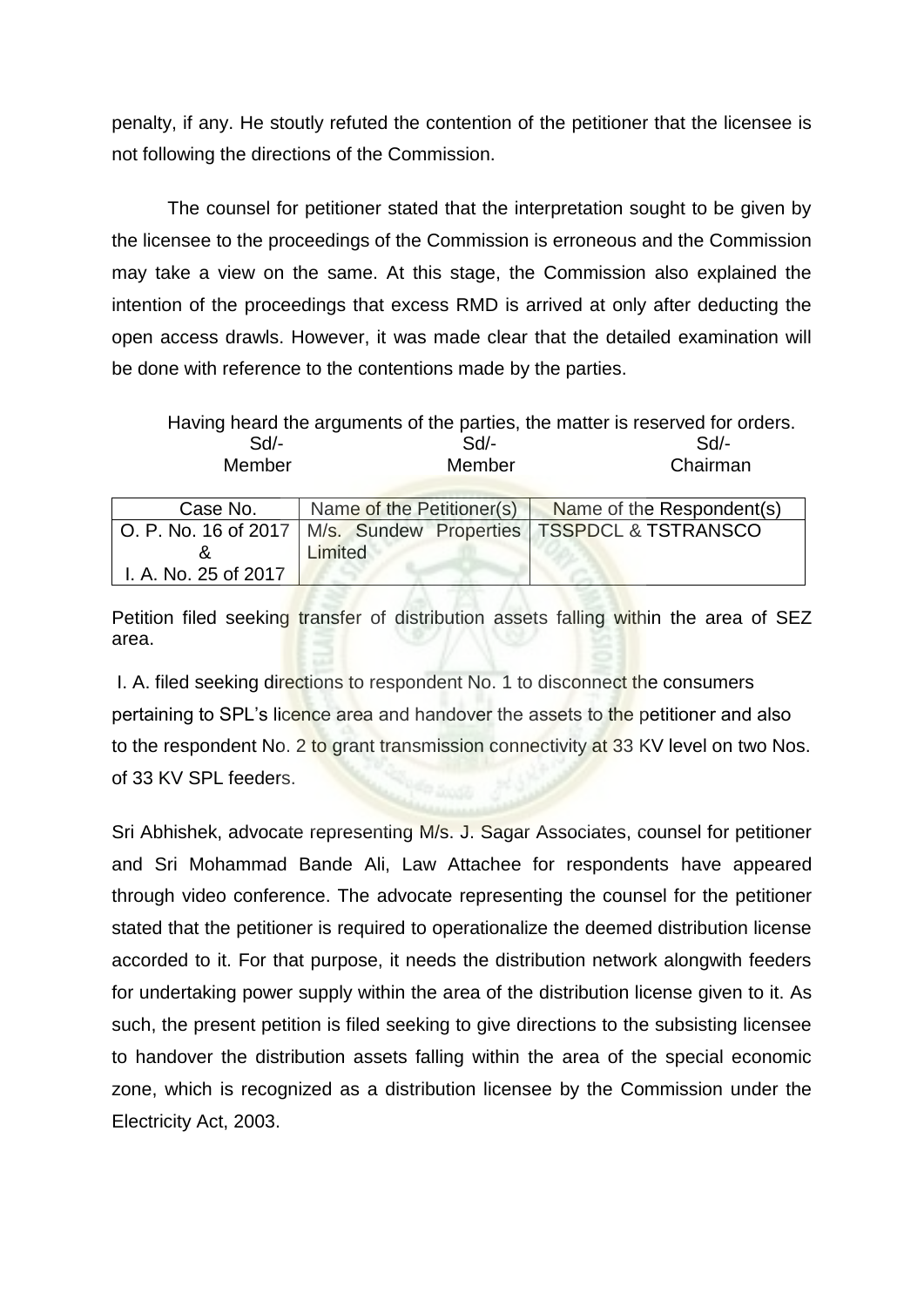penalty, if any. He stoutly refuted the contention of the petitioner that the licensee is not following the directions of the Commission.

The counsel for petitioner stated that the interpretation sought to be given by the licensee to the proceedings of the Commission is erroneous and the Commission may take a view on the same. At this stage, the Commission also explained the intention of the proceedings that excess RMD is arrived at only after deducting the open access drawls. However, it was made clear that the detailed examination will be done with reference to the contentions made by the parties.

|        | Having heard the arguments of the parties, the matter is reserved for orders. |          |
|--------|-------------------------------------------------------------------------------|----------|
| $Sd$ - | $Sd$ -                                                                        | $Sd/$ -  |
| Member | Member                                                                        | Chairman |

| Case No.             | Name of the Petitioner(s) | Name of the Respondent(s)                                           |
|----------------------|---------------------------|---------------------------------------------------------------------|
|                      |                           | O. P. No. 16 of 2017   M/s. Sundew Properties   TSSPDCL & TSTRANSCO |
|                      | Limited                   |                                                                     |
| I. A. No. 25 of 2017 |                           |                                                                     |

Petition filed seeking transfer of distribution assets falling within the area of SEZ area.

I. A. filed seeking directions to respondent No. 1 to disconnect the consumers pertaining to SPL's licence area and handover the assets to the petitioner and also to the respondent No. 2 to grant transmission connectivity at 33 KV level on two Nos. of 33 KV SPL feeders.

Sri Abhishek, advocate representing M/s. J. Sagar Associates, counsel for petitioner and Sri Mohammad Bande Ali, Law Attachee for respondents have appeared through video conference. The advocate representing the counsel for the petitioner stated that the petitioner is required to operationalize the deemed distribution license accorded to it. For that purpose, it needs the distribution network alongwith feeders for undertaking power supply within the area of the distribution license given to it. As such, the present petition is filed seeking to give directions to the subsisting licensee to handover the distribution assets falling within the area of the special economic zone, which is recognized as a distribution licensee by the Commission under the Electricity Act, 2003.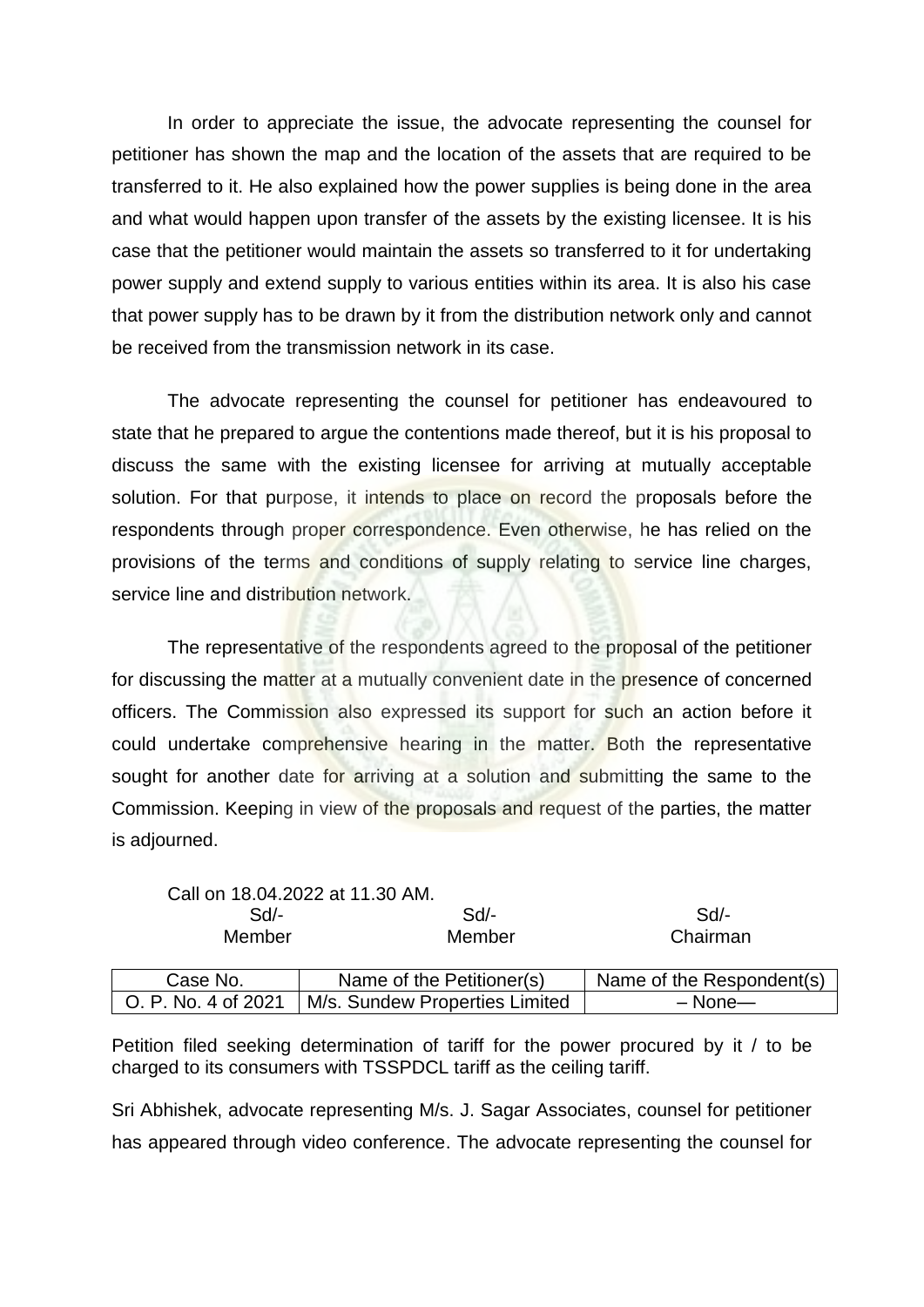In order to appreciate the issue, the advocate representing the counsel for petitioner has shown the map and the location of the assets that are required to be transferred to it. He also explained how the power supplies is being done in the area and what would happen upon transfer of the assets by the existing licensee. It is his case that the petitioner would maintain the assets so transferred to it for undertaking power supply and extend supply to various entities within its area. It is also his case that power supply has to be drawn by it from the distribution network only and cannot be received from the transmission network in its case.

The advocate representing the counsel for petitioner has endeavoured to state that he prepared to argue the contentions made thereof, but it is his proposal to discuss the same with the existing licensee for arriving at mutually acceptable solution. For that purpose, it intends to place on record the proposals before the respondents through proper correspondence. Even otherwise, he has relied on the provisions of the terms and conditions of supply relating to service line charges, service line and distribution network.

The representative of the respondents agreed to the proposal of the petitioner for discussing the matter at a mutually convenient date in the presence of concerned officers. The Commission also expressed its support for such an action before it could undertake comprehensive hearing in the matter. Both the representative sought for another date for arriving at a solution and submitting the same to the Commission. Keeping in view of the proposals and request of the parties, the matter is adjourned.

|                     | Call on 18.04.2022 at 11.30 AM. |                           |
|---------------------|---------------------------------|---------------------------|
| $Sd$ -              | Sd                              | Sd/-                      |
| Member              | Member                          | Chairman                  |
| Case No.            | Name of the Petitioner(s)       | Name of the Respondent(s) |
| O. P. No. 4 of 2021 | M/s. Sundew Properties Limited  | $-$ None $-$              |

Petition filed seeking determination of tariff for the power procured by it / to be charged to its consumers with TSSPDCL tariff as the ceiling tariff.

Sri Abhishek, advocate representing M/s. J. Sagar Associates, counsel for petitioner has appeared through video conference. The advocate representing the counsel for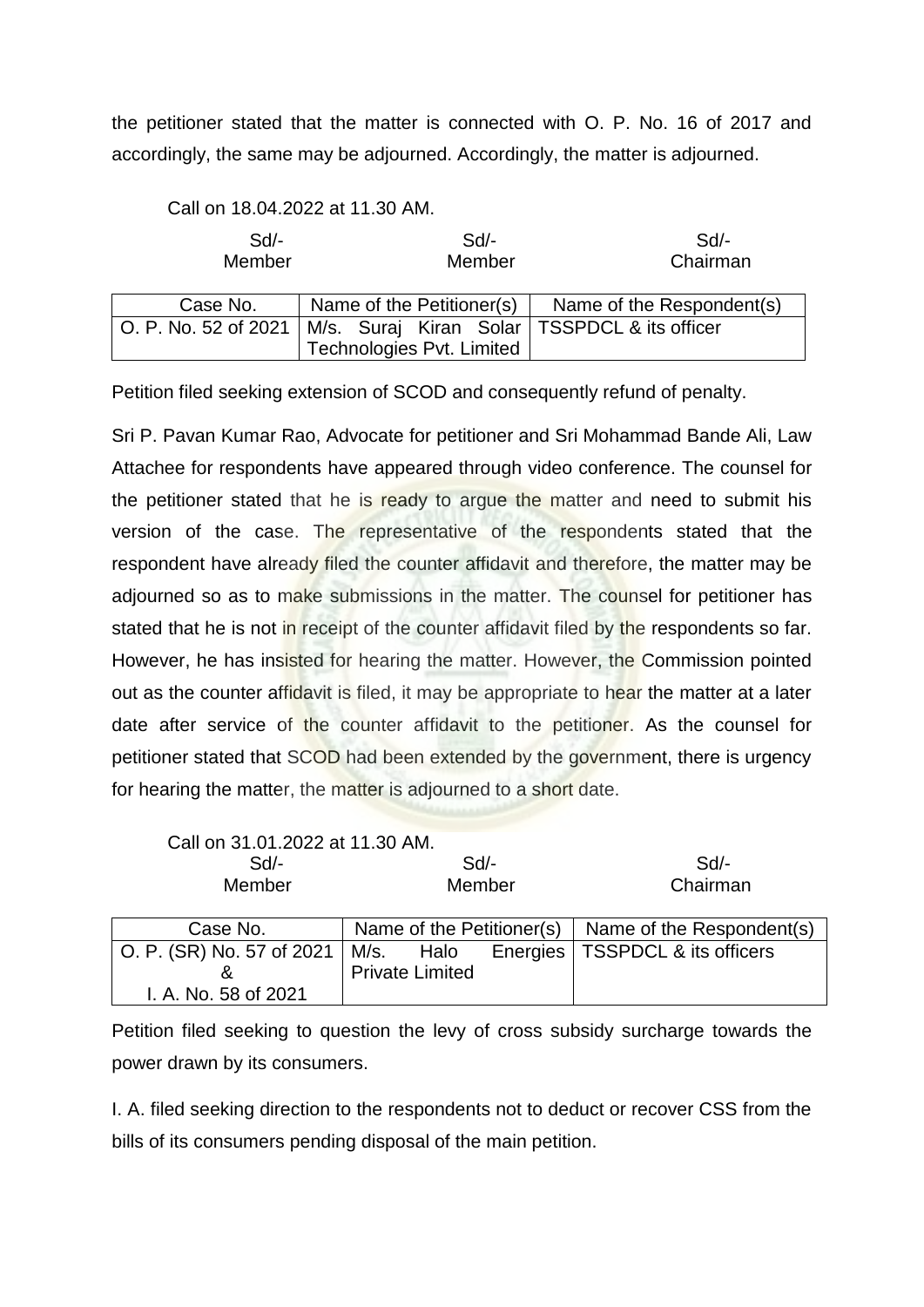the petitioner stated that the matter is connected with O. P. No. 16 of 2017 and accordingly, the same may be adjourned. Accordingly, the matter is adjourned.

Call on 18.04.2022 at 11.30 AM.

| Sd<br>Member         | Sd<br>Member                                   | Sd/-<br>Chairman          |
|----------------------|------------------------------------------------|---------------------------|
| Case No.             | Name of the Petitioner(s)                      | Name of the Respondent(s) |
| O. P. No. 52 of 2021 | M/s. Suraj Kiran Solar   TSSPDCL & its officer |                           |
|                      | Technologies Pvt. Limited                      |                           |

Petition filed seeking extension of SCOD and consequently refund of penalty.

Sri P. Pavan Kumar Rao, Advocate for petitioner and Sri Mohammad Bande Ali, Law Attachee for respondents have appeared through video conference. The counsel for the petitioner stated that he is ready to argue the matter and need to submit his version of the case. The representative of the respondents stated that the respondent have already filed the counter affidavit and therefore, the matter may be adjourned so as to make submissions in the matter. The counsel for petitioner has stated that he is not in receipt of the counter affidavit filed by the respondents so far. However, he has insisted for hearing the matter. However, the Commission pointed out as the counter affidavit is filed, it may be appropriate to hear the matter at a later date after service of the counter affidavit to the petitioner. As the counsel for petitioner stated that SCOD had been extended by the government, there is urgency for hearing the matter, the matter is adjourned to a short date.

| Call on 31.01.2022 at 11.30 AM. |                           |          |                           |
|---------------------------------|---------------------------|----------|---------------------------|
| Sd/-                            | $Sd$ -                    |          | Sd/-                      |
| Member                          | Member                    |          | Chairman                  |
|                                 |                           |          |                           |
| Case No.                        | Name of the Petitioner(s) |          | Name of the Respondent(s) |
| O. P. (SR) No. 57 of 2021       | M/s.<br>Halo              | Energies | TSSPDCL & its officers    |
|                                 | <b>Private Limited</b>    |          |                           |
| I. A. No. 58 of 2021            |                           |          |                           |

Petition filed seeking to question the levy of cross subsidy surcharge towards the power drawn by its consumers.

I. A. filed seeking direction to the respondents not to deduct or recover CSS from the bills of its consumers pending disposal of the main petition.